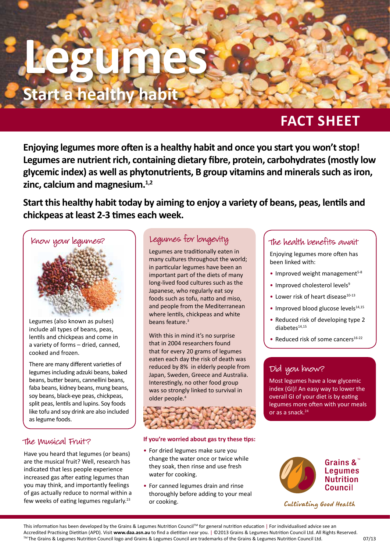

# **FACT SHEET**

**Enjoying legumes more often is a healthy habit and once you start you won't stop! Legumes are nutrient rich, containing dietary fibre, protein, carbohydrates (mostly low gIycemic index) as well as phytonutrients, B group vitamins and minerals such as iron, zinc, calcium and magnesium.1,2**

**Start this healthy habit today by aiming to enjoy a variety of beans, peas, lentils and chickpeas at least 2-3 times each week.**



Legumes (also known as pulses) include all types of beans, peas, lentils and chickpeas and come in a variety of forms – dried, canned, cooked and frozen.

There are many different varieties of legumes including adzuki beans, baked beans, butter beans, cannellini beans, faba beans, kidney beans, mung beans, soy beans, black-eye peas, chickpeas, split peas, lentils and lupins. Soy foods like tofu and soy drink are also included as legume foods.

#### The Musical Fruit?

Have you heard that legumes (or beans) are the musical fruit? Well, research has indicated that less people experience increased gas after eating legumes than you may think, and importantly feelings of gas actually reduce to normal within a few weeks of eating legumes regularly.<sup>23</sup>

# Legumes for longevity

Legumes are traditionally eaten in many cultures throughout the world; in particular legumes have been an important part of the diets of many long-lived food cultures such as the Japanese, who regularly eat soy foods such as tofu, natto and miso, and people from the Mediterranean where lentils, chickpeas and white beans feature.<sup>3</sup>

With this in mind it's no surprise that in 2004 researchers found that for every 20 grams of legumes eaten each day the risk of death was reduced by 8% in elderly people from Japan, Sweden, Greece and Australia. Interestingly, no other food group was so strongly linked to survival in older people.4



#### **If you're worried about gas try these tips:**

- For dried legumes make sure you change the water once or twice while they soak, then rinse and use fresh water for cooking.
- For canned legumes drain and rinse thoroughly before adding to your meal or cooking.

### The health benefits await

Enjoying legumes more often has been linked with:

- Improved weight management $5-8$
- $\bullet$  Improved cholesterol levels<sup>9</sup>
- Lower risk of heart disease $10-13$
- $\bullet$  Improved blood glucose levels<sup>14,15</sup>
- Reduced risk of developing type 2  $diabetes<sup>14,15</sup>$
- Reduced risk of some cancers<sup>16-22</sup>

# Did you know?

Most legumes have a low glycemic index (GI)! An easy way to lower the overall GI of your diet is by eating legumes more often with your meals or as a snack.<sup>24</sup>



Cultivating Good Health